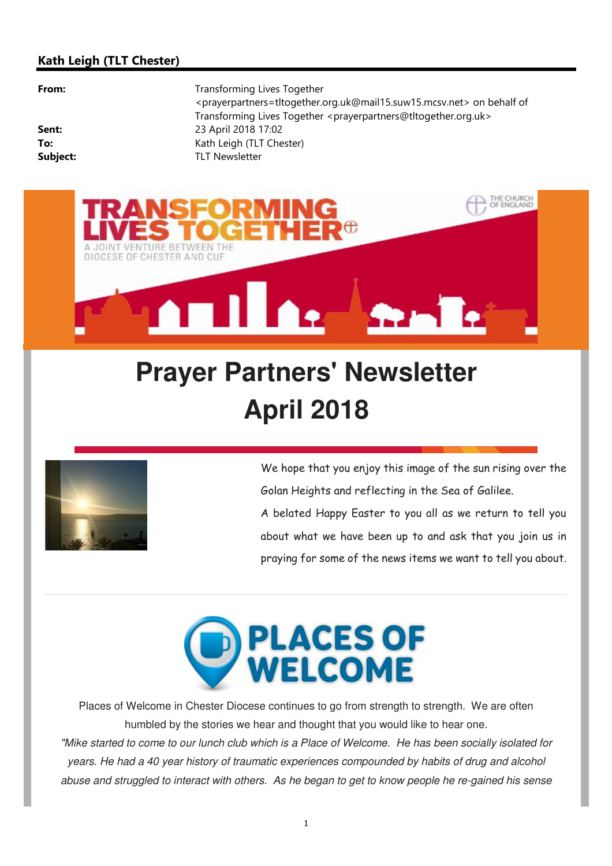#### **Kath Leigh (TLT Chester)**

**From:** Transforming Lives Together <prayerpartners=tltogether.org.uk@mail15.suw15.mcsv.net> on behalf of Transforming Lives Together <prayerpartners@tltogether.org.uk> **Sent:** 23 April 2018 17:02 **To:** Kath Leigh (TLT Chester) **Subject:** TLT Newsletter



# **Prayer Partners' Newsletter April 2018**



We hope that you enjoy this image of the sun rising over the Golan Heights and reflecting in the Sea of Galilee. A belated Happy Easter to you all as we return to tell you about what we have been up to and ask that you join us in praying for some of the news items we want to tell you about.



Places of Welcome in Chester Diocese continues to go from strength to strength. We are often humbled by the stories we hear and thought that you would like to hear one. "Mike started to come to our lunch club which is a Place of Welcome. He has been socially isolated for years. He had a 40 year history of traumatic experiences compounded by habits of drug and alcohol abuse and struggled to interact with others. As he began to get to know people he re-gained his sense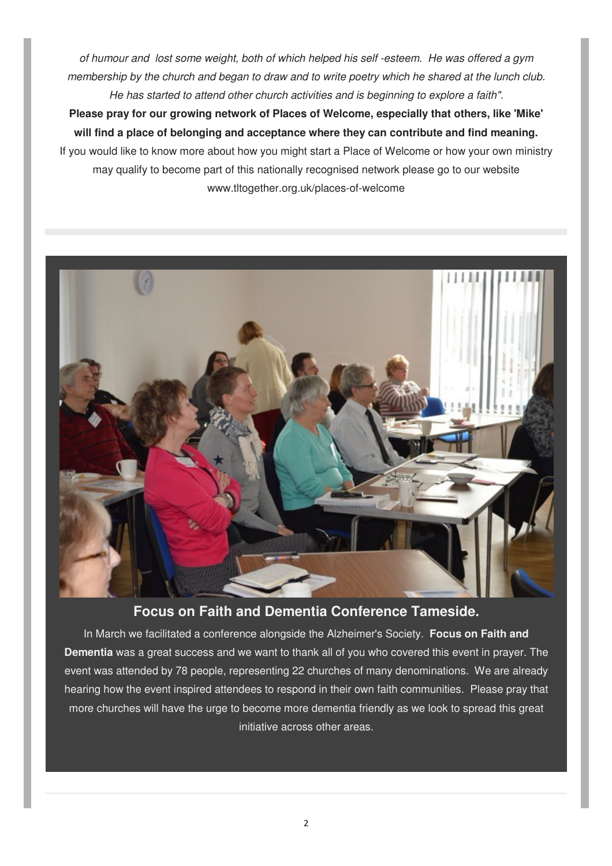of humour and lost some weight, both of which helped his self -esteem. He was offered a gym membership by the church and began to draw and to write poetry which he shared at the lunch club. He has started to attend other church activities and is beginning to explore a faith".

**Please pray for our growing network of Places of Welcome, especially that others, like 'Mike' will find a place of belonging and acceptance where they can contribute and find meaning.** If you would like to know more about how you might start a Place of Welcome or how your own ministry may qualify to become part of this nationally recognised network please go to our website www.tltogether.org.uk/places-of-welcome



## **Focus on Faith and Dementia Conference Tameside.**

In March we facilitated a conference alongside the Alzheimer's Society. **Focus on Faith and Dementia** was a great success and we want to thank all of you who covered this event in prayer. The event was attended by 78 people, representing 22 churches of many denominations. We are already hearing how the event inspired attendees to respond in their own faith communities. Please pray that more churches will have the urge to become more dementia friendly as we look to spread this great initiative across other areas.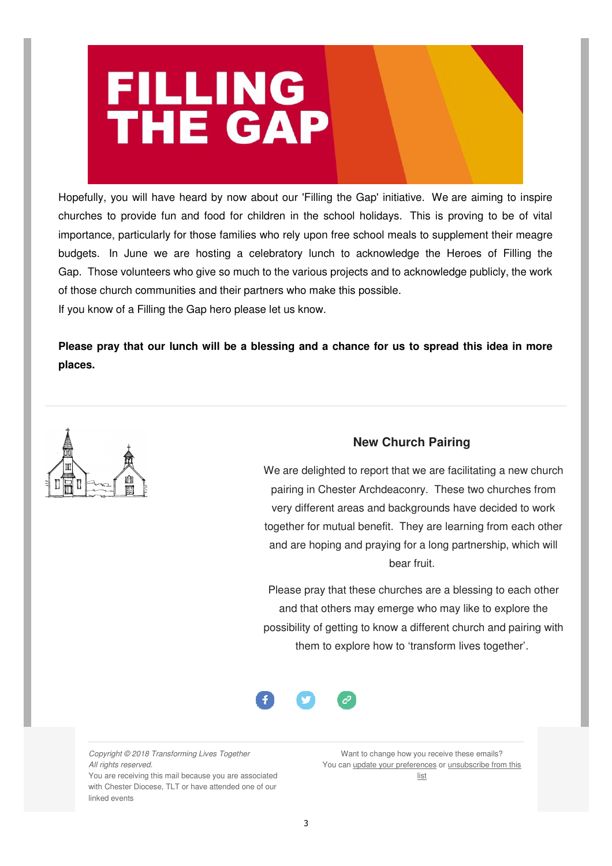

Hopefully, you will have heard by now about our 'Filling the Gap' initiative. We are aiming to inspire churches to provide fun and food for children in the school holidays. This is proving to be of vital importance, particularly for those families who rely upon free school meals to supplement their meagre budgets. In June we are hosting a celebratory lunch to acknowledge the Heroes of Filling the Gap. Those volunteers who give so much to the various projects and to acknowledge publicly, the work of those church communities and their partners who make this possible.

If you know of a Filling the Gap hero please let us know.

**Please pray that our lunch will be a blessing and a chance for us to spread this idea in more places.**



### **New Church Pairing**

We are delighted to report that we are facilitating a new church pairing in Chester Archdeaconry. These two churches from very different areas and backgrounds have decided to work together for mutual benefit. They are learning from each other and are hoping and praying for a long partnership, which will bear fruit.

Please pray that these churches are a blessing to each other and that others may emerge who may like to explore the possibility of getting to know a different church and pairing with them to explore how to 'transform lives together'.



Copyright © 2018 Transforming Lives Together All rights reserved.

You are receiving this mail because you are associated with Chester Diocese, TLT or have attended one of our linked events

Want to change how you receive these emails? You can update your preferences or unsubscribe from this list